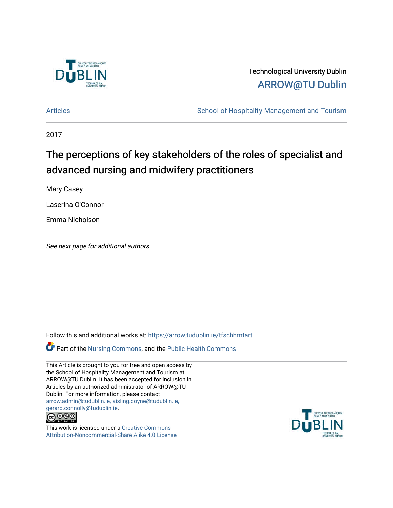

# Technological University Dublin [ARROW@TU Dublin](https://arrow.tudublin.ie/)

[Articles](https://arrow.tudublin.ie/tfschhmtart) **School of Hospitality Management and Tourism** 

2017

# The perceptions of key stakeholders of the roles of specialist and advanced nursing and midwifery practitioners

Mary Casey

Laserina O'Connor

Emma Nicholson

See next page for additional authors

Follow this and additional works at: [https://arrow.tudublin.ie/tfschhmtart](https://arrow.tudublin.ie/tfschhmtart?utm_source=arrow.tudublin.ie%2Ftfschhmtart%2F96&utm_medium=PDF&utm_campaign=PDFCoverPages) 

Part of the [Nursing Commons,](http://network.bepress.com/hgg/discipline/718?utm_source=arrow.tudublin.ie%2Ftfschhmtart%2F96&utm_medium=PDF&utm_campaign=PDFCoverPages) and the [Public Health Commons](http://network.bepress.com/hgg/discipline/738?utm_source=arrow.tudublin.ie%2Ftfschhmtart%2F96&utm_medium=PDF&utm_campaign=PDFCoverPages)

This Article is brought to you for free and open access by the School of Hospitality Management and Tourism at ARROW@TU Dublin. It has been accepted for inclusion in Articles by an authorized administrator of ARROW@TU Dublin. For more information, please contact [arrow.admin@tudublin.ie, aisling.coyne@tudublin.ie,](mailto:arrow.admin@tudublin.ie,%20aisling.coyne@tudublin.ie,%20gerard.connolly@tudublin.ie)  [gerard.connolly@tudublin.ie](mailto:arrow.admin@tudublin.ie,%20aisling.coyne@tudublin.ie,%20gerard.connolly@tudublin.ie).



This work is licensed under a [Creative Commons](http://creativecommons.org/licenses/by-nc-sa/4.0/) [Attribution-Noncommercial-Share Alike 4.0 License](http://creativecommons.org/licenses/by-nc-sa/4.0/)

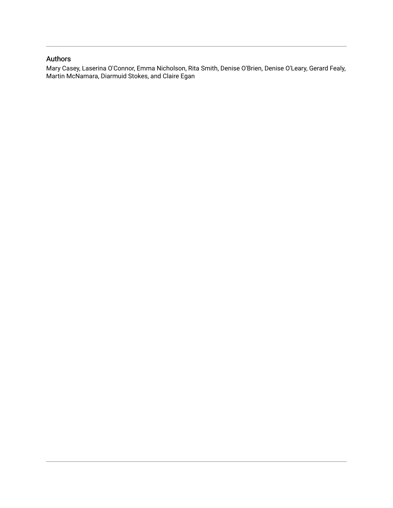# Authors

Mary Casey, Laserina O'Connor, Emma Nicholson, Rita Smith, Denise O'Brien, Denise O'Leary, Gerard Fealy, Martin McNamara, Diarmuid Stokes, and Claire Egan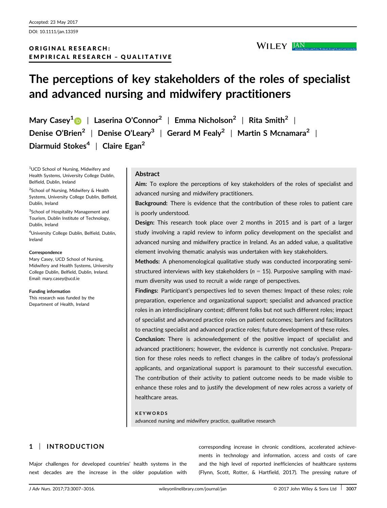DOI: 10.1111/jan.13359

# ORIGINAL RESEARCH: EMPIRICAL RESEARCH – QUALITATIVE

KEYWORDS

advanced nursing and midwifery practice, qualitative research

# 1 | INTRODUCTION

Major challenges for developed countries' health systems in the next decades are the increase in the older population with

corresponding increase in chronic conditions, accelerated achievements in technology and information, access and costs of care and the high level of reported inefficiencies of healthcare systems (Flynn, Scott, Rotter, & Hartfield, 2017). The pressing nature of

# The perceptions of key stakeholders of the roles of specialist and advanced nursing and midwifery practitioners

Mary Casey<sup>[1](http://orcid.org/0000-0003-3305-0074)</sup> | Laserina O'Connor<sup>2</sup> | Emma Nicholson<sup>2</sup> | Rita Smith<sup>2</sup> | Denise O'Brien<sup>2</sup> | Denise O'Leary<sup>3</sup> | Gerard M Fealy<sup>2</sup> | Martin S Mcnamara<sup>2</sup> | Diarmuid Stokes<sup>4</sup> | Claire Egan<sup>2</sup>

<sup>1</sup>UCD School of Nursing, Midwifery and Health Systems, University College Dublin, Belfield, Dublin, Ireland

<sup>2</sup>School of Nursing, Midwifery & Health Systems, University College Dublin, Belfield, Dublin, Ireland

3 School of Hospitality Management and Tourism, Dublin Institute of Technology, Dublin, Ireland

4 University College Dublin, Belfield, Dublin, Ireland

#### **Correspondence**

Mary Casey, UCD School of Nursing, Midwifery and Health Systems, University College Dublin, Belfield, Dublin, Ireland. Email: mary.casey@ucd.ie

Funding information

This research was funded by the Department of Health, Ireland

## **Abstract**

Aim: To explore the perceptions of key stakeholders of the roles of specialist and advanced nursing and midwifery practitioners.

WILEY JAN

Background: There is evidence that the contribution of these roles to patient care is poorly understood.

Design: This research took place over 2 months in 2015 and is part of a larger study involving a rapid review to inform policy development on the specialist and advanced nursing and midwifery practice in Ireland. As an added value, a qualitative element involving thematic analysis was undertaken with key stakeholders.

Methods: A phenomenological qualitative study was conducted incorporating semistructured interviews with key stakeholders ( $n = 15$ ). Purposive sampling with maximum diversity was used to recruit a wide range of perspectives.

Findings: Participant's perspectives led to seven themes: Impact of these roles; role preparation, experience and organizational support; specialist and advanced practice roles in an interdisciplinary context; different folks but not such different roles; impact of specialist and advanced practice roles on patient outcomes; barriers and facilitators to enacting specialist and advanced practice roles; future development of these roles.

Conclusion: There is acknowledgement of the positive impact of specialist and advanced practitioners; however, the evidence is currently not conclusive. Preparation for these roles needs to reflect changes in the calibre of today's professional applicants, and organizational support is paramount to their successful execution. The contribution of their activity to patient outcome needs to be made visible to enhance these roles and to justify the development of new roles across a variety of healthcare areas.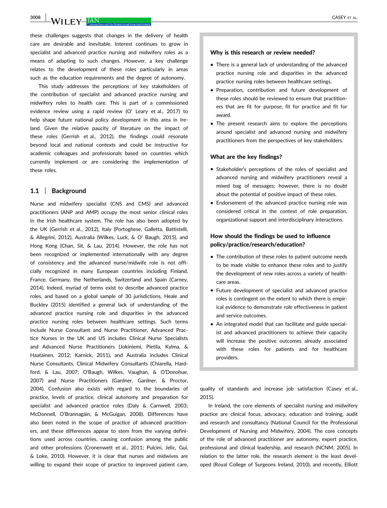3008 WILEY JAN CASEY ET AL.

these challenges suggests that changes in the delivery of health care are desirable and inevitable. Interest continues to grow in specialist and advanced practice nursing and midwifery roles as a means of adapting to such changes. However, a key challenge relates to the development of these roles particularly in areas such as the education requirements and the degree of autonomy.

This study addresses the perceptions of key stakeholders of the contribution of specialist and advanced practice nursing and midwifery roles to health care. This is part of a commissioned evidence review using a rapid review (O' Leary et al., 2017) to help shape future national policy development in this area in Ireland. Given the relative paucity of literature on the impact of these roles (Gerrish et al., 2012), the findings could resonate beyond local and national contexts and could be instructive for academic colleagues and professionals based on countries which currently implement or are considering the implementation of these roles.

## 1.1 | Background

Nurse and midwifery specialist (CNS and CMS) and advanced practitioners (ANP and AMP) occupy the most senior clinical roles in the Irish healthcare system. The role has also been adopted by the UK (Gerrish et al., 2012), Italy (Portoghese, Galletta, Battistelli, & Allegrini, 2012), Australia (Wilkes, Luck, & O' Baugh, 2015), and Hong Kong (Chan, Sit, & Lau, 2014). However, the role has not been recognized or implemented internationally with any degree of consistency and the advanced nurse/midwife role is not officially recognized in many European countries including Finland, France, Germany, the Netherlands, Switzerland and Spain (Carney, 2014). Indeed, myriad of terms exist to describe advanced practice roles, and based on a global sample of 30 jurisdictions, Heale and Buckley (2015) identified a general lack of understanding of the advanced practice nursing role and disparities in the advanced practice nursing roles between healthcare settings. Such terms include Nurse Consultant and Nurse Practitioner, Advanced Practice Nurses in the UK and US includes Clinical Nurse Specialists and Advanced Nurse Practitioners (Jokiniemi, Pietila, Kylma, & Haatainen, 2012; Karnick, 2011), and Australia includes Clinical Nurse Consultants, Clinical Midwifery Consultants (Chiarella, Hardford, & Lau, 2007; O'Baugh, Wilkes, Vaughan, & O'Donohue, 2007) and Nurse Practitioners (Gardner, Gardner, & Proctor, 2004). Confusion also exists with regard to the boundaries of practice, levels of practice, clinical autonomy and preparation for specialist and advanced practice roles (Daly & Carnwell, 2003; McDonnell, O'Brannagáin, & McGuigan, 2008). Differences have also been noted in the scope of practice of advanced practitioners, and these differences appear to stem from the varying definitions used across countries, causing confusion among the public and other professions (Cronenwett et al., 2011; Pulcini, Jelic, Gul, & Loke, 2010). However, it is clear that nurses and midwives are willing to expand their scope of practice to improved patient care,

### Why is this research or review needed?

- There is a general lack of understanding of the advanced practice nursing role and disparities in the advanced practice nursing roles between healthcare settings.
- Preparation, contribution and future development of these roles should be reviewed to ensure that practitioners that are fit for purpose, fit for practice and fit for award.
- The present research aims to explore the perceptions around specialist and advanced nursing and midwifery practitioners from the perspectives of key stakeholders.

#### What are the key findings?

- Stakeholder's perceptions of the roles of specialist and advanced nursing and midwifery practitioners reveal a mixed bag of messages; however, there is no doubt about the potential of positive impact of these roles.
- Endorsement of the advanced practice nursing role was considered critical in the context of role preparation, organizational support and interdisciplinary interactions.

## How should the findings be used to influence policy/practice/research/education?

- The contribution of these roles to patient outcome needs to be made visible to enhance these roles and to justify the development of new roles across a variety of healthcare areas.
- Future development of specialist and advanced practice roles is contingent on the extent to which there is empirical evidence to demonstrate role effectiveness in patient and service outcomes.
- An integrated model that can facilitate and guide specialist and advanced practitioners to achieve their capacity will increase the positive outcomes already associated with these roles for patients and for healthcare providers.

quality of standards and increase job satisfaction (Casey et al., 2015).

In Ireland, the core elements of specialist nursing and midwifery practice are clinical focus, advocacy, education and training, audit and research and consultancy (National Council for the Professional Development of Nursing and Midwifery, 2004). The core concepts of the role of advanced practitioner are autonomy, expert practice, professional and clinical leadership, and research (NCNM, 2005). In relation to the latter role, the research element is the least developed (Royal College of Surgeons Ireland, 2010), and recently, Elliott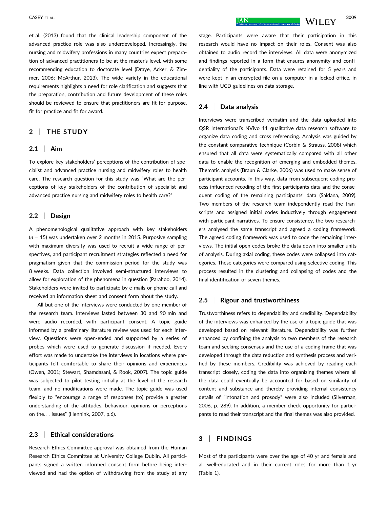et al. (2013) found that the clinical leadership component of the advanced practice role was also underdeveloped. Increasingly, the nursing and midwifery professions in many countries expect preparation of advanced practitioners to be at the master's level, with some recommending education to doctorate level (Draye, Acker, & Zimmer, 2006; McArthur, 2013). The wide variety in the educational requirements highlights a need for role clarification and suggests that the preparation, contribution and future development of these roles should be reviewed to ensure that practitioners are fit for purpose, fit for practice and fit for award.

## 2 | THE STUDY

#### 2.1 | Aim

To explore key stakeholders' perceptions of the contribution of specialist and advanced practice nursing and midwifery roles to health care. The research question for this study was "What are the perceptions of key stakeholders of the contribution of specialist and advanced practice nursing and midwifery roles to health care?"

## 2.2 | Design

A phenomenological qualitative approach with key stakeholders  $(n = 15)$  was undertaken over 2 months in 2015. Purposive sampling with maximum diversity was used to recruit a wide range of perspectives, and participant recruitment strategies reflected a need for pragmatism given that the commission period for the study was 8 weeks. Data collection involved semi-structured interviews to allow for exploration of the phenomena in question (Parahoo, 2014). Stakeholders were invited to participate by e-mails or phone call and received an information sheet and consent form about the study.

All but one of the interviews were conducted by one member of the research team. Interviews lasted between 30 and 90 min and were audio recorded, with participant consent. A topic guide informed by a preliminary literature review was used for each interview. Questions were open-ended and supported by a series of probes which were used to generate discussion if needed. Every effort was made to undertake the interviews in locations where participants felt comfortable to share their opinions and experiences (Owen, 2001; Stewart, Shamdasani, & Rook, 2007). The topic guide was subjected to pilot testing initially at the level of the research team, and no modifications were made. The topic guide was used flexibly to "encourage a range of responses (to) provide a greater understanding of the attitudes, behaviour, opinions or perceptions on the... issues" (Hennink, 2007, p.6).

## 2.3 | Ethical considerations

Research Ethics Committee approval was obtained from the Human Research Ethics Committee at University College Dublin. All participants signed a written informed consent form before being interviewed and had the option of withdrawing from the study at any stage. Participants were aware that their participation in this research would have no impact on their roles. Consent was also obtained to audio record the interviews. All data were anonymized and findings reported in a form that ensures anonymity and confidentiality of the participants. Data were retained for 5 years and were kept in an encrypted file on a computer in a locked office, in line with UCD guidelines on data storage.

## 2.4 | Data analysis

Interviews were transcribed verbatim and the data uploaded into QSR International's NVivo 11 qualitative data research software to organize data coding and cross referencing. Analysis was guided by the constant comparative technique (Corbin & Strauss, 2008) which ensured that all data were systematically compared with all other data to enable the recognition of emerging and embedded themes. Thematic analysis (Braun & Clarke, 2006) was used to make sense of participant accounts. In this way, data from subsequent coding process influenced recoding of the first participants data and the consequent coding of the remaining participants' data (Saldana, 2009). Two members of the research team independently read the transcripts and assigned initial codes inductively through engagement with participant narratives. To ensure consistency, the two researchers analysed the same transcript and agreed a coding framework. The agreed coding framework was used to code the remaining interviews. The initial open codes broke the data down into smaller units of analysis. During axial coding, these codes were collapsed into categories. These categories were compared using selective coding. This process resulted in the clustering and collapsing of codes and the final identification of seven themes.

## 2.5 | Rigour and trustworthiness

Trustworthiness refers to dependability and credibility. Dependability of the interviews was enhanced by the use of a topic guide that was developed based on relevant literature. Dependability was further enhanced by confining the analysis to two members of the research team and seeking consensus and the use of a coding frame that was developed through the data reduction and synthesis process and verified by these members. Credibility was achieved by reading each transcript closely, coding the data into organizing themes where all the data could eventually be accounted for based on similarity of content and substance and thereby providing internal consistency details of "intonation and prosody" were also included (Silverman, 2006, p. 289). In addition, a member check opportunity for participants to read their transcript and the final themes was also provided.

## 3 | FINDINGS

Most of the participants were over the age of 40 yr and female and all well-educated and in their current roles for more than 1 yr (Table 1).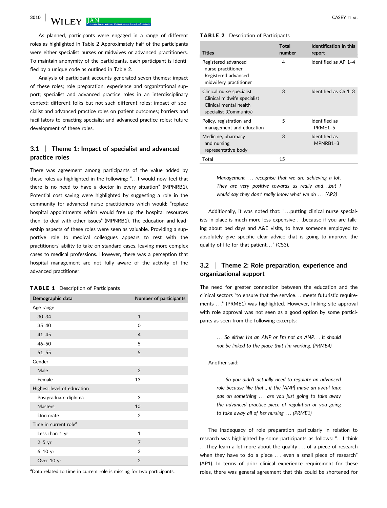$3010$  | M/H EM  $\overline{IAN}$  | CASEY ET AL.

As planned, participants were engaged in a range of different roles as highlighted in Table 2 Approximately half of the participants were either specialist nurses or midwives or advanced practitioners. To maintain anonymity of the participants, each participant is identified by a unique code as outlined in Table 2.

Analysis of participant accounts generated seven themes: impact of these roles; role preparation, experience and organizational support; specialist and advanced practice roles in an interdisciplinary context; different folks but not such different roles; impact of specialist and advanced practice roles on patient outcomes; barriers and facilitators to enacting specialist and advanced practice roles; future development of these roles.

# 3.1 | Theme 1: Impact of specialist and advanced practice roles

There was agreement among participants of the value added by these roles as highlighted in the following: "...I would now feel that there is no need to have a doctor in every situation" (MPNRB1). Potential cost saving were highlighted by suggesting a role in the community for advanced nurse practitioners which would: "replace hospital appointments which would free up the hospital resources then, to deal with other issues" (MPNRB1). The education and leadership aspects of these roles were seen as valuable. Providing a supportive role to medical colleagues appears to rest with the practitioners' ability to take on standard cases, leaving more complex cases to medical professions. However, there was a perception that hospital management are not fully aware of the activity of the advanced practitioner:

#### TABLE 1 Description of Participants

| Demographic data                  | Number of participants |
|-----------------------------------|------------------------|
| Age range                         |                        |
| $30 - 34$                         | $\mathbf{1}$           |
| $35 - 40$                         | $\Omega$               |
| $41 - 45$                         | $\overline{4}$         |
| $46 - 50$                         | 5                      |
| $51 - 55$                         | 5                      |
| Gender                            |                        |
| Male                              | $\mathfrak{p}$         |
| Female                            | 13                     |
| Highest level of education        |                        |
| Postgraduate diploma              | 3                      |
| <b>Masters</b>                    | 10                     |
| Doctorate                         | $\overline{2}$         |
| Time in current role <sup>a</sup> |                        |
| Less than 1 yr                    | $\mathbf{1}$           |
| $2-5$ yr                          | 7                      |
| $6-10$ yr                         | 3                      |
| Over 10 yr                        | $\overline{2}$         |

<sup>a</sup>Data related to time in current role is missing for two participants.

#### TABLE 2 Description of Participants

| <b>Titles</b>                                                                                                | <b>Total</b><br>number | Identification in this<br>report |
|--------------------------------------------------------------------------------------------------------------|------------------------|----------------------------------|
| Registered advanced<br>nurse practitioner<br>Registered advanced<br>midwifery practitioner                   | 4                      | Identified as $AP 1-4$           |
| Clinical nurse specialist<br>Clinical midwife specialist<br>Clinical mental health<br>specialist (Community) | 3                      | Identified as $CS$ 1-3           |
| Policy, registration and<br>management and education                                                         | 5                      | Identified as<br>$PRMF1-5$       |
| Medicine, pharmacy<br>and nursing<br>representative body                                                     | 3                      | Identified as<br>MPNRB1-3        |
| Total                                                                                                        | 15                     |                                  |

Management ... recognise that we are achieving a lot. They are very positive towards us really and...but I would say they don't really know what we do ... (AP3)

Additionally, it was noted that: "...putting clinical nurse specialists in place is much more less expensive ...because if you are talking about bed days and A&E visits, to have someone employed to absolutely give specific clear advice that is going to improve the quality of life for that patient..." (CS3).

# 3.2 | Theme 2: Role preparation, experience and organizational support

The need for greater connection between the education and the clinical sectors "to ensure that the service... meets futuristic requirements ..." (PRME1) was highlighted. However, linking site approval with role approval was not seen as a good option by some participants as seen from the following excerpts:

> ... So either I'm an ANP or I'm not an ANP... It should not be linked to the place that I'm working. (PRME4)

#### Another said:

.... So you didn't actually need to regulate an advanced role because like that.., if the [ANP] made an awful faux pas on something ... are you just going to take away the advanced practice piece of regulation or you going to take away all of her nursing ... (PRME1)

The inadequacy of role preparation particularly in relation to research was highlighted by some participants as follows: "...I think ...They learn a lot more about the quality ... of a piece of research when they have to do a piece ... even a small piece of research" (AP1). In terms of prior clinical experience requirement for these roles, there was general agreement that this could be shortened for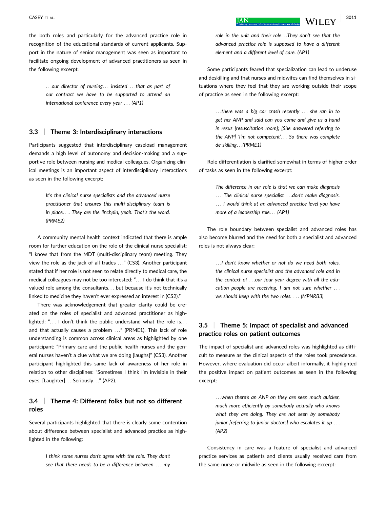the both roles and particularly for the advanced practice role in recognition of the educational standards of current applicants. Support in the nature of senior management was seen as important to facilitate ongoing development of advanced practitioners as seen in the following excerpt:

...our director of nursing... insisted ...that as part of our contract we have to be supported to attend an international conference every year ... (AP1)

## 3.3 | Theme 3: Interdisciplinary interactions

Participants suggested that interdisciplinary caseload management demands a high level of autonomy and decision-making and a supportive role between nursing and medical colleagues. Organizing clinical meetings is an important aspect of interdisciplinary interactions as seen in the following excerpt:

> It's the clinical nurse specialists and the advanced nurse practitioner that ensures this multi-disciplinary team is in place.... They are the linchpin, yeah. That's the word. (PRME2)

A community mental health context indicated that there is ample room for further education on the role of the clinical nurse specialist: "I know that from the MDT (multi-disciplinary team) meeting. They view the role as the jack of all trades ..." (CS3). Another participant stated that if her role is not seen to relate directly to medical care, the medical colleagues may not be too interested: "... I do think that it's a valued role among the consultants... but because it's not technically linked to medicine they haven't ever expressed an interest in (CS2)."

There was acknowledgement that greater clarity could be created on the roles of specialist and advanced practitioner as highlighted: "... I don't think the public understand what the role is... and that actually causes a problem ..." (PRME1). This lack of role understanding is common across clinical areas as highlighted by one participant: "Primary care and the public health nurses and the general nurses haven't a clue what we are doing [laughs]" (CS3). Another participant highlighted this same lack of awareness of her role in relation to other disciplines: "Sometimes I think I'm invisible in their eyes. [Laughter]... Seriously..." (AP2).

## 3.4 | Theme 4: Different folks but not so different roles

Several participants highlighted that there is clearly some contention about difference between specialist and advanced practice as highlighted in the following:

> I think some nurses don't agree with the role. They don't see that there needs to be a difference between ... my

role in the unit and their role...They don't see that the advanced practice role is supposed to have a different element and a different level of care. (AP1)

Some participants feared that specialization can lead to underuse and deskilling and that nurses and midwifes can find themselves in situations where they feel that they are working outside their scope of practice as seen in the following excerpt:

> ...there was a big car crash recently ... she ran in to get her ANP and said can you come and give us a hand in resus [resuscitation room]; [She answered referring to the ANP] 'I'm not competent'... So there was complete de-skilling...(PRME1)

Role differentiation is clarified somewhat in terms of higher order of tasks as seen in the following excerpt:

The difference in our role is that we can make diagnosis ... The clinical nurse specialist ...don't make diagnosis. ... I would think at an advanced practice level you have more of a leadership role... (AP1)

The role boundary between specialist and advanced roles has also become blurred and the need for both a specialist and advanced roles is not always clear:

> ...I don't know whether or not do we need both roles, the clinical nurse specialist and the advanced role and in the context of ...our four year degree with all the education people are receiving, I am not sure whether ... we should keep with the two roles. ... (MPNRB3)

# 3.5 | Theme 5: Impact of specialist and advanced practice roles on patient outcomes

The impact of specialist and advanced roles was highlighted as difficult to measure as the clinical aspects of the roles took precedence. However, where evaluation did occur albeit informally, it highlighted the positive impact on patient outcomes as seen in the following excerpt:

> ...when there's an ANP on they are seen much quicker, much more efficiently by somebody actually who knows what they are doing. They are not seen by somebody junior [referring to junior doctors] who escalates it up ... (AP2)

Consistency in care was a feature of specialist and advanced practice services as patients and clients usually received care from the same nurse or midwife as seen in the following excerpt: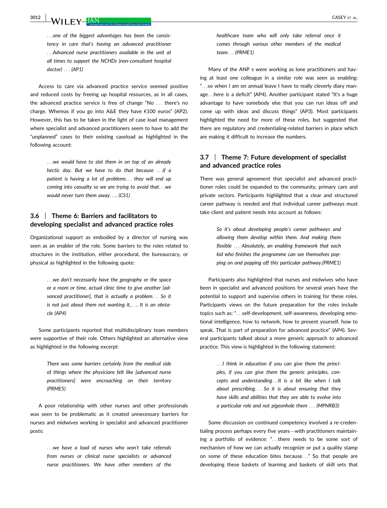**3012 WII FY-JAN** CASEY ET AL.

...one of the biggest advantages has been the consistency in care that's having an advanced practitioner ...Advanced nurse practitioners available in the unit at all times to support the NCHDs (non-consultant hospital doctor) ... (AP1)

Access to care via advanced practice service seemed positive and reduced costs by freeing up hospital resources, as in all cases, the advanced practice service is free of change "No ... there's no charge. Whereas if you go into A&E they have €100 euros" (AP2). However, this has to be taken in the light of case load management where specialist and advanced practitioners seem to have to add the "unplanned" cases to their existing caseload as highlighted in the following account:

> ...we would have to slot them in on top of an already hectic day. But we have to do that because ...if a patient is having a lot of problems... they will end up coming into casualty so we are trying to avoid that...we would never turn them away.... (CS1)

# 3.6 | Theme 6: Barriers and facilitators to developing specialist and advanced practice roles

Organizational support as embodied by a director of nursing was seen as an enabler of the role. Some barriers to the roles related to structures in the institution, either procedural, the bureaucracy, or physical as highlighted in the following quote:

> ...we don't necessarily have the geography or the space or a room or time, actual clinic time to give another [advanced practitioner], that is actually a problem... So it is not just about them not wanting it,.... It is an obstacle (AP4)

Some participants reported that multidisciplinary team members were supportive of their role. Others highlighted an alternative view as highlighted in the following excerpt:

> There was some barriers certainly from the medical side of things where the physicians felt like [advanced nurse practitioners] were encroaching on their territory (PRME5)

A poor relationship with other nurses and other professionals was seen to be problematic as it created unnecessary barriers for nurses and midwives working in specialist and advanced practitioner posts:

> ...we have a load of nurses who won't take referrals from nurses or clinical nurse specialists or advanced nurse practitioners. We have other members of the

healthcare team who will only take referral once it comes through various other members of the medical team... (PRME1)

Many of the ANP s were working as lone practitioners and having at least one colleague in a similar role was seen as enabling: "...so when I am on annual leave I have to really cleverly diary manage...here is a deficit" (AP4). Another participant stated "It's a huge advantage to have somebody else that you can run ideas off and come up with ideas and discuss things" (AP3). Most participants highlighted the need for more of these roles, but suggested that there are regulatory and credentialing-related barriers in place which are making it difficult to increase the numbers.

## 3.7 | Theme 7: Future development of specialist and advanced practice roles

There was general agreement that specialist and advanced practitioner roles could be expanded to the community, primary care and private sectors. Participants highlighted that a clear and structured career pathway is needed and that individual career pathways must take client and patient needs into account as follows:

> So it's about developing people's career pathways and allowing them develop within them. And making them flexible ... Absolutely, an enabling framework that each kid who finishes the programme can see themselves popping on and popping off this particular pathway.(PRME1)

Participants also highlighted that nurses and midwives who have been in specialist and advanced positions for several years have the potential to support and supervise others in training for these roles. Participants views on the future preparation for the roles include topics such as: "...self-development, self-awareness, developing emotional intelligence, how to network, how to present yourself, how to speak. That is part of preparation for advanced practice" (AP4). Several participants talked about a more generic approach to advanced practice. This view is highlighted in the following statement:

> ...I think in education if you can give them the principles, if you can give them the generic principles, concepts and understanding...It is a bit like when I talk about prescribing... So it is about ensuring that they have skills and abilities that they are able to evolve into a particular role and not pigeonhole them ... (MPNRB3)

Some discussion on continued competency involved a re-credentialing process perhaps every five years—with practitioners maintaining a portfolio of evidence: "...there needs to be some sort of mechanism of how we can actually recognize or put a quality stamp on some of these education bites because..." So that people are developing these baskets of learning and baskets of skill sets that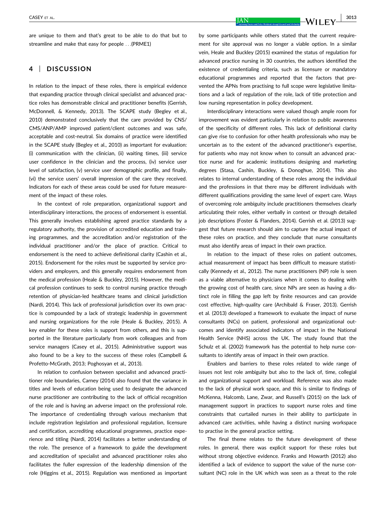are unique to them and that's great to be able to do that but to streamline and make that easy for people ...(PRME1)

# 4 | DISCUSSION

In relation to the impact of these roles, there is empirical evidence that expanding practice through clinical specialist and advanced practice roles has demonstrable clinical and practitioner benefits (Gerrish, McDonnell, & Kennedy, 2013). The SCAPE study (Begley et al., 2010) demonstrated conclusively that the care provided by CNS/ CMS/ANP/AMP improved patient/client outcomes and was safe, acceptable and cost-neutral. Six domains of practice were identified in the SCAPE study (Begley et al., 2010) as important for evaluation: (i) communication with the clinician, (ii) waiting times, (iii) service user confidence in the clinician and the process, (iv) service user level of satisfaction, (v) service user demographic profile, and finally, (vi) the service users' overall impression of the care they received. Indicators for each of these areas could be used for future measurement of the impact of these roles.

In the context of role preparation, organizational support and interdisciplinary interactions, the process of endorsement is essential. This generally involves establishing agreed practice standards by a regulatory authority, the provision of accredited education and training programmes, and the accreditation and/or registration of the individual practitioner and/or the place of practice. Critical to endorsement is the need to achieve definitional clarity (Cashin et al., 2015). Endorsement for the roles must be supported by service providers and employers, and this generally requires endorsement from the medical profession (Heale & Buckley, 2015). However, the medical profession continues to seek to control nursing practice through retention of physician-led healthcare teams and clinical jurisdiction (Nardi, 2014). This lack of professional jurisdiction over its own practice is compounded by a lack of strategic leadership in government and nursing organizations for the role (Heale & Buckley, 2015). A key enabler for these roles is support from others, and this is supported in the literature particularly from work colleagues and from service managers (Casey et al., 2015). Administrative support was also found to be a key to the success of these roles (Campbell & Profetto-McGrath, 2013; Poghosyan et al., 2013).

In relation to confusion between specialist and advanced practitioner role boundaries, Carney (2014) also found that the variance in titles and levels of education being used to designate the advanced nurse practitioner are contributing to the lack of official recognition of the role and is having an adverse impact on the professional role. The importance of credentialing through various mechanism that include registration legislation and professional regulation, licensure and certification, accrediting educational programmes, practice experience and titling (Nardi, 2014) facilitates a better understanding of the role. The presence of a framework to guide the development and accreditation of specialist and advanced practitioner roles also facilitates the fuller expression of the leadership dimension of the role (Higgins et al., 2015). Regulation was mentioned as important by some participants while others stated that the current requirement for site approval was no longer a viable option. In a similar vein, Heale and Buckley (2015) examined the status of regulation for advanced practice nursing in 30 countries, the authors identified the existence of credentialing criteria, such as licensure or mandatory educational programmes and reported that the factors that prevented the APNs from practising to full scope were legislative limitations and a lack of regulation of the role, lack of title protection and low nursing representation in policy development.

Interdisciplinary interactions were valued though ample room for improvement was evident particularly in relation to public awareness of the specificity of different roles. This lack of definitional clarity can give rise to confusion for other health professionals who may be uncertain as to the extent of the advanced practitioner's expertise, for patients who may not know when to consult an advanced practice nurse and for academic institutions designing and marketing degrees (Stasa, Cashin, Buckley, & Donoghue, 2014). This also relates to internal understanding of these roles among the individual and the professions in that there may be different individuals with different qualifications providing the same level of expert care. Ways of overcoming role ambiguity include practitioners themselves clearly articulating their roles, either verbally in context or through detailed job descriptions (Foster & Flanders, 2014). Gerrish et al. (2013) suggest that future research should aim to capture the actual impact of these roles on practice, and they conclude that nurse consultants must also identify areas of impact in their own practice.

In relation to the impact of these roles on patient outcomes, actual measurement of impact has been difficult to measure statistically (Kennedy et al., 2012). The nurse practitioners (NP) role is seen as a viable alternative to physicians when it comes to dealing with the growing cost of health care, since NPs are seen as having a distinct role in filling the gap left by finite resources and can provide cost effective, high-quality care (Archibald & Fraser, 2013). Gerrish et al. (2013) developed a framework to evaluate the impact of nurse consultants (NCs) on patient, professional and organizational outcomes and identify associated indicators of impact in the National Health Service (NHS) across the UK. The study found that the Schulz et al. (2002) framework has the potential to help nurse consultants to identify areas of impact in their own practice.

Enablers and barriers to these roles related to wide range of issues not lest role ambiguity but also to the lack of, time, collegial and organizational support and workload. Reference was also made to the lack of physical work space, and this is similar to findings of McKenna, Halcomb, Lane, Zwar, and Russell's (2015) on the lack of management support in practices to support nurse roles and time constraints that curtailed nurses in their ability to participate in advanced care activities, while having a distinct nursing workspace to practise in the general practice setting.

The final theme relates to the future development of these roles. In general, there was explicit support for these roles but without strong objective evidence. Franks and Howarth (2012) also identified a lack of evidence to support the value of the nurse consultant (NC) role in the UK which was seen as a threat to the role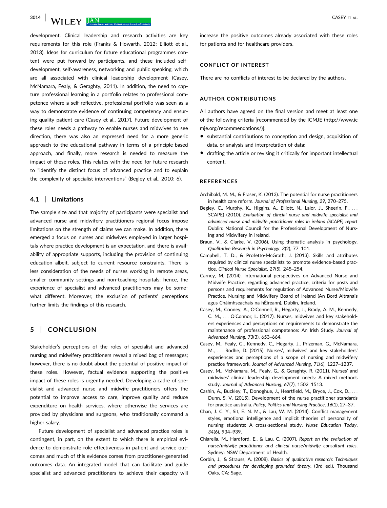$3014$  | M/H EM. TAN

development. Clinical leadership and research activities are key requirements for this role (Franks & Howarth, 2012; Elliott et al., 2013). Ideas for curriculum for future educational programmes content were put forward by participants, and these included selfdevelopment, self-awareness, networking and public speaking, which are all associated with clinical leadership development (Casey, McNamara, Fealy, & Geraghty, 2011). In addition, the need to capture professional learning in a portfolio relates to professional competence where a self-reflective, professional portfolio was seen as a way to demonstrate evidence of continuing competency and ensuring quality patient care (Casey et al., 2017). Future development of these roles needs a pathway to enable nurses and midwives to see direction, there was also an expressed need for a more generic approach to the educational pathway in terms of a principle-based approach, and finally, more research is needed to measure the impact of these roles. This relates with the need for future research to "identify the distinct focus of advanced practice and to explain the complexity of specialist interventions" (Begley et al., 2010: 6).

## 4.1 | Limitations

The sample size and that majority of participants were specialist and advanced nurse and midwifery practitioners regional focus impose limitations on the strength of claims we can make. In addition, there emerged a focus on nurses and midwives employed in larger hospitals where practice development is an expectation, and there is availability of appropriate supports, including the provision of continuing education albeit, subject to current resource constraints. There is less consideration of the needs of nurses working in remote areas, smaller community settings and non-teaching hospitals; hence, the experience of specialist and advanced practitioners may be somewhat different. Moreover, the exclusion of patients' perceptions further limits the findings of this research.

# 5 | CONCLUSION

Stakeholder's perceptions of the roles of specialist and advanced nursing and midwifery practitioners reveal a mixed bag of messages; however, there is no doubt about the potential of positive impact of these roles. However, factual evidence supporting the positive impact of these roles is urgently needed. Developing a cadre of specialist and advanced nurse and midwife practitioners offers the potential to improve access to care, improve quality and reduce expenditure on health services, where otherwise the services are provided by physicians and surgeons, who traditionally command a higher salary.

Future development of specialist and advanced practice roles is contingent, in part, on the extent to which there is empirical evidence to demonstrate role effectiveness in patient and service outcomes and much of this evidence comes from practitioner-generated outcomes data. An integrated model that can facilitate and guide specialist and advanced practitioners to achieve their capacity will increase the positive outcomes already associated with these roles for patients and for healthcare providers.

### CONFLICT OF INTEREST

There are no conflicts of interest to be declared by the authors.

## AUTHOR CONTRIBUTIONS

All authors have agreed on the final version and meet at least one of the following criteria [recommended by the ICMJE ([http://www.ic](http://www.icmje.org/recommendations/) [mje.org/recommendations/](http://www.icmje.org/recommendations/))]:

- substantial contributions to conception and design, acquisition of data, or analysis and interpretation of data;
- drafting the article or revising it critically for important intellectual content.

#### **REFERENCES**

- Archibald, M. M., & Fraser, K. (2013). The potential for nurse practitioners in health care reform. Journal of Professional Nursing, 29, 270–275.
- Begley, C., Murphy, K., Higgins, A., Elliott, N., Lalor, J., Sheerin, F., ... SCAPE) (2010). Evaluation of clincial nurse and midwife specialist and advanced nurse and midwife practitioner roles in ireland (SCAPE) report Dublin: National Council for the Professional Development of Nursing and Midwifery in Ireland.
- Braun, V., & Clarke, V. (2006). Using thematic analysis in psychology. Qualitative Research in Psychology, 3(2), 77–101.
- Campbell, T. D., & Profetto-McGrath, J. (2013). Skills and attributes required by clinical nurse specialists to promote evidence-based practice. Clinical Nurse Specialist, 27(5), 245–254.
- Carney, M. (2014). International perspectives on Advanced Nurse and Midwife Practice, regarding advanced practice, criteria for posts and persons and requirements for regulation of Advanced Nurse/Midwife Practice. Nursing and Midwifery Board of Ireland (An Bord Altranais agus Cnáimhseachais na hÉireann), Dublin, Ireland.
- Casey, M., Cooney, A., O'Connell, R., Hegarty, J., Brady, A. M., Kennedy, C. M., ... O'Connor, L. (2017). Nurses, midwives and key stakeholders experiences and perceptions on requirements to demonstrate the maintenance of professional competence: An Irish Study. Journal of Advanced Nursing, 73(3), 653–664.
- Casey, M., Fealy, G., Kennedy, C., Hegarty, J., Prizeman, G., McNamara, M., ... Rodhe, D. (2015). Nurses', midwives' and key stakeholders' experiences and perceptions of a scope of nursing and midwifery practice framework. Journal of Advanced Nursing, 71(6), 1227–1237.
- Casey, M., McNamara, M., Fealy, G., & Geraghty, R. (2011). Nurses' and midwives' clinical leadership development needs: A mixed methods study. Journal of Advanced Nursing, 67(7), 1502–1513.
- Cashin, A., Buckley, T., Donoghue, J., Heartfield, M., Bryce, J., Cox, D., ... Dunn, S. V. (2015). Development of the nurse practitioner standards for practice australia. Policy, Politics and Nursing Practice, 16(1), 27–37.
- Chan, J. C. Y., Sit, E. N. M., & Lau, W. M. (2014). Conflict management styles, emotional intelligence and implicit theories of personality of nursing students: A cross-sectional study. Nurse Education Today, 34(6), 934–939.
- Chiarella, M., Hardford, E., & Lau, C. (2007). Report on the evaluation of nurse/midwife practitioner and clinical nurse/midwife consultant roles. Sydney: NSW Department of Health.
- Corbin, J., & Strauss, A. (2008). Basics of qualitative research: Techniques and procedures for developing grounded theory. (3rd ed.). Thousand Oaks, CA: Sage.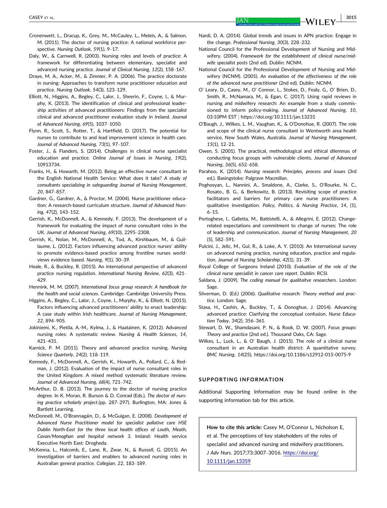- Cronenwett, L., Dracup, K., Grey, M., McCauley, L., Meleis, A., & Salmon, M. (2011). The doctor of nursing practice: A national workforce perspective. Nursing Outlook, 59(1), 9–17.
- Daly, W., & Carnwell, R. (2003). Nursing roles and levels of practice: A framework for differentiating between elementary, specialist and advanced nursing practice. Journal of Clinical Nursing, 12(2), 158–167.
- Draye, M. A., Acker, M., & Zimmer, P. A. (2006). The practice doctorate in nursing: Approaches to transform nurse practitioner education and practice. Nursing Outlook, 54(3), 123–129.
- Elliott, N., Higgins, A., Begley, C., Lalor, J., Sheerin, F., Coyne, I., & Murphy, K. (2013). The identification of clinical and professional leadership activities of advanced practitioners: Findings from the specialist clinical and advanced practitioner evaluation study in Ireland. Journal of Advanced Nursing, 69(5), 1037–1050.
- Flynn, R., Scott, S., Rotter, T., & Hartfield, D. (2017). The potential for nurses to contribute to and lead improvement science in health care. Journal of Advanced Nursing, 73(1), 97–107.
- Foster, J., & Flanders, S. (2014). Challenges in clinical nurse specialist education and practice. Online Journal of Issues in Nursing, 19(2), 10913734.
- Franks, H., & Howarth, M. (2012). Being an effective nurse consultant in the English National Health Service: What does it take? A study of consultants specializing in safeguarding Journal of Nursing Management, 20, 847–857.
- Gardner, G., Gardner, A., & Proctor, M. (2004). Nurse practitioner education: A research-based curriculum structure. Journal of Advanced Nursing, 47(2), 143–152.
- Gerrish, K., McDonnell, A., & Kennedy, F. (2013). The development of a framework for evaluating the impact of nurse consultant roles in the UK. Journal of Advanced Nursing, 69(10), 2295–2308.
- Gerrish, K., Nolan, M., McDonnell, A., Tod, A., Kirshbaum, M., & Guillaume, L. (2012). Factors influencing advanced practice nurses' ability to promote evidence-based practice among frontline nurses worldviews evidence based. Nursing, 9(1), 30–39.
- Heale, R., & Buckley, R. (2015). An international perspective of advanced practice nursing regulation. International Nursing Review, 62(3), 421– 429.
- Hennink, M. M. (2007). International focus group research: A handbook for the health and social sciences. Cambridge: Cambridge University Press.
- Higgins, A., Begley, C., Lalor, J., Coyne, I., Murphy, K., & Elliott, N. (2015). Factors influencing advanced practitioners' ability to enact leadership: A case study within Irish healthcare. Journal of Nursing Management, 22, 894–905.
- Jokiniemi, K., Pietila, A.-M., Kylma, J., & Haatainen, K. (2012). Advanced nursing roles: A systematic review. Nursing & Health Sciences, 14, 421–431.
- Karnick, P. M. (2011). Theory and advanced practice nursing. Nursing Science Quarterly, 24(2), 118–119.
- Kennedy, F., McDonnell, A., Gerrish, K., Howarth, A., Pollard, C., & Redman, J. (2012). Evaluation of the impact of nurse consultant roles in the United Kingdom: A mixed method systematic literature review. Journal of Advanced Nursing, 68(4), 721–742.
- McArthur, D. B. (2013). The journey to the doctor of nursing practice degree. In K. Moran, R. Burson & D. Conrad (Eds.), The doctor of nursing practice scholarly project.(pp. 287–297). Burlington, MA: Jones & Bartlett Learning.
- McDonnell, M., O'Brannagain, D., & McGuigan, E. (2008). Development of Advanced Nurse Practitioner model for specialist pallative care HSE Dublin North-East for the three local health offices of Louth, Meath, Cavan/Monaghan and hospital network 3. Ireland: Health service Executive North East: Drogheda.
- McKenna, L., Halcomb, E., Lane, R., Zwar, N., & Russell, G. (2015). An investigation of barriers and enablers to advanced nursing roles in Australian general practice. Collegian, 22, 183–189.
- Nardi, D. A. (2014). Global trends and issues in APN practice: Engage in the change. Professional Nursing, 30(3), 228–232.
- National Council for the Professional Development of Nursing and Midwifery. (2004). Framework for the establishment of clinical nurse/midwife specialist posts (2nd ed). Dublin: NCNM.
- National Council for the Professional Development of Nursing and Midwifery (NCNM). (2005). An evaluation of the effectiveness of the role of the advanced nurse practitioner (2nd ed). Dublin: NCNM.
- O' Leary, D., Casey, M., O' Connor, L., Stokes, D., Fealy, G., O' Brien, D., Smith, R., McNamara, M., & Egan, C. (2017). Using rapid reviews in nursing and midwifery research: An example from a study commissioned to inform policy-making. Journal of Advanced Nursing, 10, 03:10PM EST | <https://doi.org/10.1111/jan.13231>
- O'Baugh, J., Wilkes, L. M., Vaughan, K., & O'Donohue, R. (2007). The role and scope of the clinical nurse consultant in Wentworth area health service, New South Wales, Australia. Journal of Nursing Management, 15(1), 12–21.
- Owen, S. (2001). The practical, methodological and ethical dilemmas of conducting focus groups with vulnerable clients. Journal of Advanced Nursing, 36(5), 652–658.
- Parahoo, K. (2014). Nursing research: Principles, process and issues (3rd ed.). Basingstoke: Palgrave Macmillan.
- Poghosyan, L., Nannini, A., Smaldone, A., Clarke, S., O'Rourke, N. C., Rosato., B. G., & Berkowitz, B. (2013). Revisiting scope of practice facilitators and barriers for primary care nurse practitioners: A qualitative investigation. Policy, Politics, & Nursing Practice, 14, (1), 6–15.
- Portoghese, I., Galletta, M., Battistelli, A., & Allegrini, E. (2012). Changerelated expectations and commitment to change of nurses: The role of leadership and communication. Journal of Nursing Management, 20 (5), 582–591.
- Pulcini, J., Jelic, M., Gul, R., & Loke, A. Y. (2010). An International survey on advanced nursing practice, nursing education, practice and regulation. Journal of Nursing Scholarship, 42(1), 31–39.
- Royal College of Surgeons Ireland (2010). Evaluation of the role of the clinical nurse specialist in cancer care report. Dublin: RCSI.
- Saldana, J. (2009). The coding manual for qualitaitve researchers. London: Sage.
- Silverman, D. (Ed.) (2006). Qualitative research: Theory method and practice. London: Sage.
- Stasa, H., Cashin, A., Buckley, T., & Donoghue, J. (2014). Advancing advanced practice: Clarifying the conceptual confusion. Nurse Education Today, 34(2), 356–361.
- Stewart, D. W., Shamdasani, P. N., & Rook, D. W. (2007). Focus groups: Theory and practice (2nd ed.). Thousand Oaks, CA: Sage.
- Wilkes, L., Luck, L., & O' Baugh, J. (2015). The role of a clinical nurse consultant in an Australian health district: A quantitative survey. BMC Nursing, 14(25),<https://doi.org/10.1186/s12912-015-0075-9>

#### SUPPORTING INFORMATION

Additional Supporting Information may be found online in the supporting information tab for this article.

How to cite this article: Casey M, O'Connor L, Nicholson E, et al. The perceptions of key stakeholders of the roles of specialist and advanced nursing and midwifery practitioners. J Adv Nurs. 2017;73:3007–3016. [https://doi.org/](https://doi.org/10.1111/jan.13359) [10.1111/jan.13359](https://doi.org/10.1111/jan.13359)